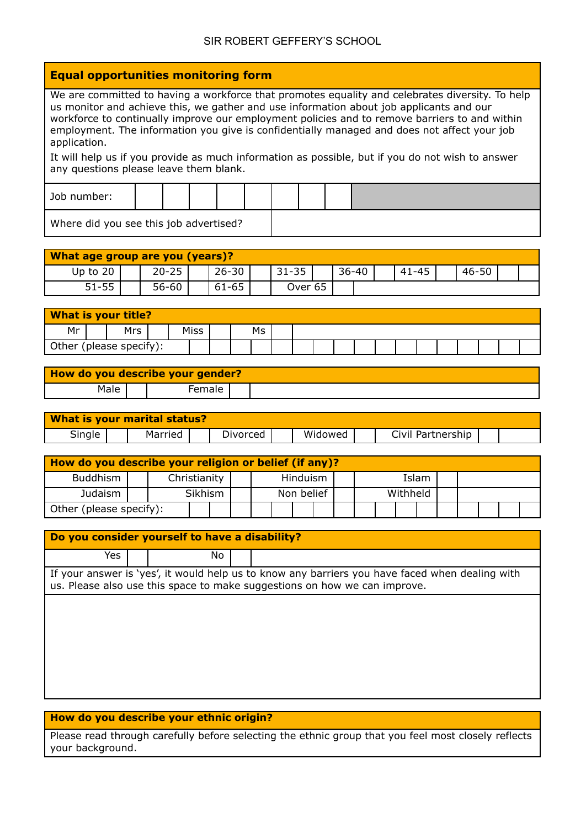## SIR ROBERT GEFFERY'S SCHOOL

## **Equal opportunities monitoring form**

We are committed to having a workforce that promotes equality and celebrates diversity. To help us monitor and achieve this, we gather and use information about job applicants and our workforce to continually improve our employment policies and to remove barriers to and within employment. The information you give is confidentially managed and does not affect your job application.

It will help us if you provide as much information as possible, but if you do not wish to answer any questions please leave them blank.

| Job number:                            |  |  |  |  |  |
|----------------------------------------|--|--|--|--|--|
| Where did you see this job advertised? |  |  |  |  |  |

| <b>What age group are you (years)?</b> |           |           |           |           |  |           |           |  |
|----------------------------------------|-----------|-----------|-----------|-----------|--|-----------|-----------|--|
| Up to 20                               | $20 - 25$ | $26 - 30$ | $31 - 35$ | $36 - 40$ |  | $41 - 45$ | $46 - 50$ |  |
| $51 - 55$                              | $56 - 60$ | $61 - 65$ | Over 65   |           |  |           |           |  |

| <b>What is your title?</b> |            |             |    |  |  |  |  |  |  |  |
|----------------------------|------------|-------------|----|--|--|--|--|--|--|--|
| Mr                         | <b>Mrs</b> | <b>Miss</b> | Ms |  |  |  |  |  |  |  |
| Other (please specify):    |            |             |    |  |  |  |  |  |  |  |

| How do you describe your gender? |        |  |
|----------------------------------|--------|--|
| Male                             | Female |  |

| What is your marital status? |         |          |         |                   |  |
|------------------------------|---------|----------|---------|-------------------|--|
| Single                       | Married | Divorced | Widowed | Civil Partnership |  |

| How do you describe your religion or belief (if any)? |  |              |  |  |            |  |  |          |       |  |  |  |
|-------------------------------------------------------|--|--------------|--|--|------------|--|--|----------|-------|--|--|--|
| <b>Buddhism</b>                                       |  | Christianity |  |  | Hinduism   |  |  |          | Islam |  |  |  |
| Judaism                                               |  | Sikhism      |  |  | Non belief |  |  | Withheld |       |  |  |  |
| Other (please specify):                               |  |              |  |  |            |  |  |          |       |  |  |  |

| Do you consider yourself to have a disability?<br>Yes.<br>No.<br>If your answer is 'yes', it would help us to know any barriers you have faced when dealing with |  |  |  |                                                                           |  |  |  |  |  |  |  |  |
|------------------------------------------------------------------------------------------------------------------------------------------------------------------|--|--|--|---------------------------------------------------------------------------|--|--|--|--|--|--|--|--|
|                                                                                                                                                                  |  |  |  |                                                                           |  |  |  |  |  |  |  |  |
|                                                                                                                                                                  |  |  |  | us. Please also use this space to make suggestions on how we can improve. |  |  |  |  |  |  |  |  |
|                                                                                                                                                                  |  |  |  |                                                                           |  |  |  |  |  |  |  |  |
|                                                                                                                                                                  |  |  |  |                                                                           |  |  |  |  |  |  |  |  |
|                                                                                                                                                                  |  |  |  |                                                                           |  |  |  |  |  |  |  |  |
|                                                                                                                                                                  |  |  |  |                                                                           |  |  |  |  |  |  |  |  |
|                                                                                                                                                                  |  |  |  |                                                                           |  |  |  |  |  |  |  |  |

## **How do you describe your ethnic origin?**

Please read through carefully before selecting the ethnic group that you feel most closely reflects your background.